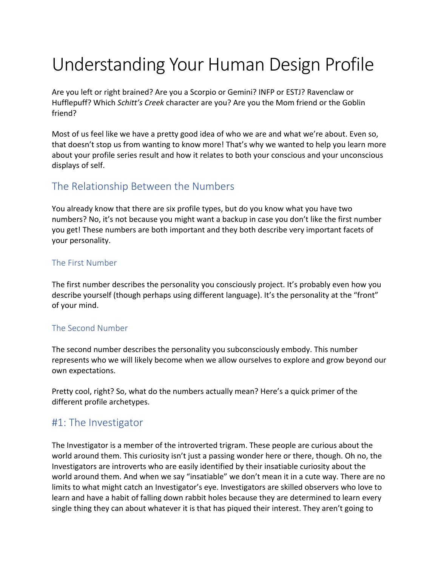# Understanding Your Human Design Profile

Are you left or right brained? Are you a Scorpio or Gemini? INFP or ESTJ? Ravenclaw or Hufflepuff? Which *Schitt's Creek* character are you? Are you the Mom friend or the Goblin friend?

Most of us feel like we have a pretty good idea of who we are and what we're about. Even so, that doesn't stop us from wanting to know more! That's why we wanted to help you learn more about your profile series result and how it relates to both your conscious and your unconscious displays of self.

#### The Relationship Between the Numbers

You already know that there are six profile types, but do you know what you have two numbers? No, it's not because you might want a backup in case you don't like the first number you get! These numbers are both important and they both describe very important facets of your personality.

#### The First Number

The first number describes the personality you consciously project. It's probably even how you describe yourself (though perhaps using different language). It's the personality at the "front" of your mind.

#### The Second Number

The second number describes the personality you subconsciously embody. This number represents who we will likely become when we allow ourselves to explore and grow beyond our own expectations.

Pretty cool, right? So, what do the numbers actually mean? Here's a quick primer of the different profile archetypes.

## #1: The Investigator

The Investigator is a member of the introverted trigram. These people are curious about the world around them. This curiosity isn't just a passing wonder here or there, though. Oh no, the Investigators are introverts who are easily identified by their insatiable curiosity about the world around them. And when we say "insatiable" we don't mean it in a cute way. There are no limits to what might catch an Investigator's eye. Investigators are skilled observers who love to learn and have a habit of falling down rabbit holes because they are determined to learn every single thing they can about whatever it is that has piqued their interest. They aren't going to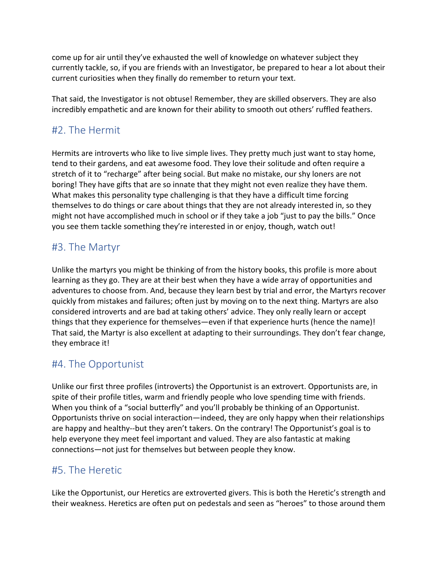come up for air until they've exhausted the well of knowledge on whatever subject they currently tackle, so, if you are friends with an Investigator, be prepared to hear a lot about their current curiosities when they finally do remember to return your text.

That said, the Investigator is not obtuse! Remember, they are skilled observers. They are also incredibly empathetic and are known for their ability to smooth out others' ruffled feathers.

# #2. The Hermit

Hermits are introverts who like to live simple lives. They pretty much just want to stay home, tend to their gardens, and eat awesome food. They love their solitude and often require a stretch of it to "recharge" after being social. But make no mistake, our shy loners are not boring! They have gifts that are so innate that they might not even realize they have them. What makes this personality type challenging is that they have a difficult time forcing themselves to do things or care about things that they are not already interested in, so they might not have accomplished much in school or if they take a job "just to pay the bills." Once you see them tackle something they're interested in or enjoy, though, watch out!

# #3. The Martyr

Unlike the martyrs you might be thinking of from the history books, this profile is more about learning as they go. They are at their best when they have a wide array of opportunities and adventures to choose from. And, because they learn best by trial and error, the Martyrs recover quickly from mistakes and failures; often just by moving on to the next thing. Martyrs are also considered introverts and are bad at taking others' advice. They only really learn or accept things that they experience for themselves—even if that experience hurts (hence the name)! That said, the Martyr is also excellent at adapting to their surroundings. They don't fear change, they embrace it!

## #4. The Opportunist

Unlike our first three profiles (introverts) the Opportunist is an extrovert. Opportunists are, in spite of their profile titles, warm and friendly people who love spending time with friends. When you think of a "social butterfly" and you'll probably be thinking of an Opportunist. Opportunists thrive on social interaction—indeed, they are only happy when their relationships are happy and healthy--but they aren't takers. On the contrary! The Opportunist's goal is to help everyone they meet feel important and valued. They are also fantastic at making connections—not just for themselves but between people they know.

## #5. The Heretic

Like the Opportunist, our Heretics are extroverted givers. This is both the Heretic's strength and their weakness. Heretics are often put on pedestals and seen as "heroes" to those around them